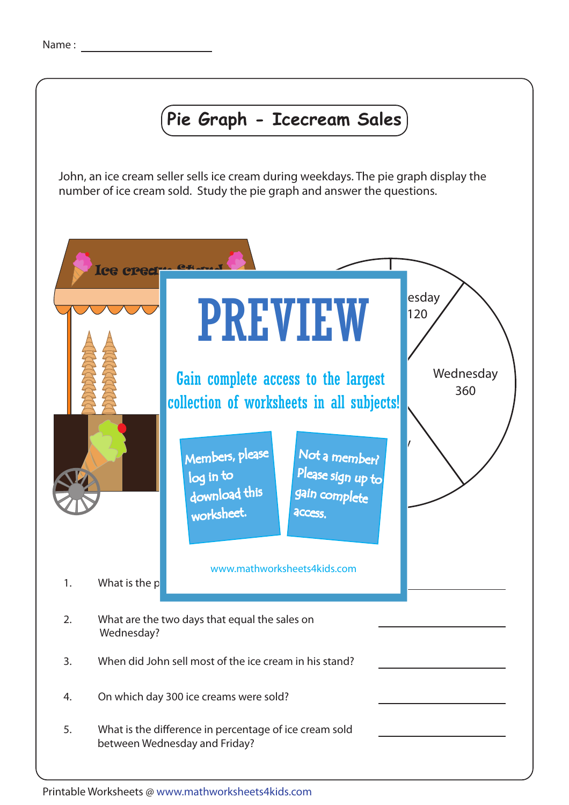